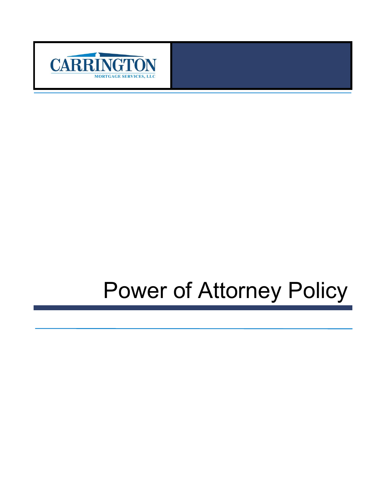

# Power of Attorney Policy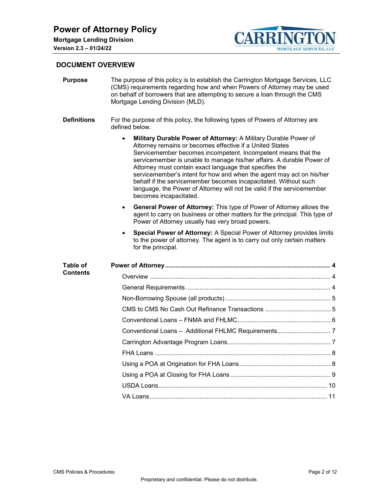

## **DOCUMENT OVERVIEW**

| <b>Purpose</b>     | The purpose of this policy is to establish the Carrington Mortgage Services, LLC<br>(CMS) requirements regarding how and when Powers of Attorney may be used<br>on behalf of borrowers that are attempting to secure a loan through the CMS<br>Mortgage Lending Division (MLD).                                                                                                                                                                                                                                                                                                              |  |  |  |  |
|--------------------|----------------------------------------------------------------------------------------------------------------------------------------------------------------------------------------------------------------------------------------------------------------------------------------------------------------------------------------------------------------------------------------------------------------------------------------------------------------------------------------------------------------------------------------------------------------------------------------------|--|--|--|--|
| <b>Definitions</b> | For the purpose of this policy, the following types of Powers of Attorney are<br>defined below.                                                                                                                                                                                                                                                                                                                                                                                                                                                                                              |  |  |  |  |
|                    | Military Durable Power of Attorney: A Military Durable Power of<br>$\bullet$<br>Attorney remains or becomes effective if a United States<br>Servicemember becomes incompetent. Incompetent means that the<br>servicemember is unable to manage his/her affairs. A durable Power of<br>Attorney must contain exact language that specifies the<br>servicemember's intent for how and when the agent may act on his/her<br>behalf if the servicemember becomes incapacitated. Without such<br>language, the Power of Attorney will not be valid if the servicemember<br>becomes incapacitated. |  |  |  |  |
|                    | General Power of Attorney: This type of Power of Attorney allows the<br>$\bullet$<br>agent to carry on business or other matters for the principal. This type of<br>Power of Attorney usually has very broad powers.                                                                                                                                                                                                                                                                                                                                                                         |  |  |  |  |
|                    | Special Power of Attorney: A Special Power of Attorney provides limits<br>to the power of attorney. The agent is to carry out only certain matters<br>for the principal.                                                                                                                                                                                                                                                                                                                                                                                                                     |  |  |  |  |
| Table of           |                                                                                                                                                                                                                                                                                                                                                                                                                                                                                                                                                                                              |  |  |  |  |
| Contents           |                                                                                                                                                                                                                                                                                                                                                                                                                                                                                                                                                                                              |  |  |  |  |
|                    |                                                                                                                                                                                                                                                                                                                                                                                                                                                                                                                                                                                              |  |  |  |  |
|                    |                                                                                                                                                                                                                                                                                                                                                                                                                                                                                                                                                                                              |  |  |  |  |
|                    |                                                                                                                                                                                                                                                                                                                                                                                                                                                                                                                                                                                              |  |  |  |  |
|                    |                                                                                                                                                                                                                                                                                                                                                                                                                                                                                                                                                                                              |  |  |  |  |
|                    | Conventional Loans - Additional FHLMC Requirements 7                                                                                                                                                                                                                                                                                                                                                                                                                                                                                                                                         |  |  |  |  |
|                    |                                                                                                                                                                                                                                                                                                                                                                                                                                                                                                                                                                                              |  |  |  |  |
|                    |                                                                                                                                                                                                                                                                                                                                                                                                                                                                                                                                                                                              |  |  |  |  |
|                    |                                                                                                                                                                                                                                                                                                                                                                                                                                                                                                                                                                                              |  |  |  |  |
|                    |                                                                                                                                                                                                                                                                                                                                                                                                                                                                                                                                                                                              |  |  |  |  |
|                    |                                                                                                                                                                                                                                                                                                                                                                                                                                                                                                                                                                                              |  |  |  |  |
|                    | 11<br>VA Loans                                                                                                                                                                                                                                                                                                                                                                                                                                                                                                                                                                               |  |  |  |  |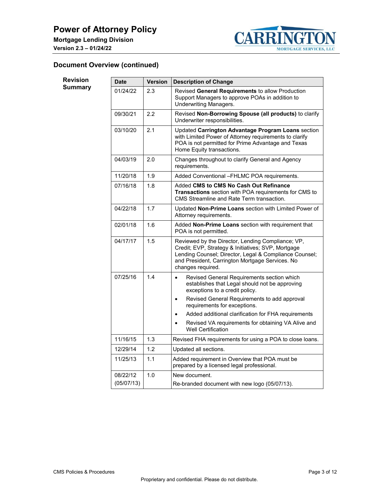

# **Document Overview (continued)**

| <b>Revision</b><br><b>Summary</b> | <b>Date</b> | <b>Version</b> | <b>Description of Change</b>                                                                                                                                                                                                              |
|-----------------------------------|-------------|----------------|-------------------------------------------------------------------------------------------------------------------------------------------------------------------------------------------------------------------------------------------|
|                                   | 01/24/22    | 2.3            | Revised General Requirements to allow Production<br>Support Managers to approve POAs in addition to<br><b>Underwriting Managers.</b>                                                                                                      |
|                                   | 09/30/21    | 2.2            | Revised Non-Borrowing Spouse (all products) to clarify<br>Underwriter responsibilities.                                                                                                                                                   |
|                                   | 03/10/20    | 2.1            | Updated Carrington Advantage Program Loans section<br>with Limited Power of Attorney requirements to clarify<br>POA is not permitted for Prime Advantage and Texas<br>Home Equity transactions.                                           |
|                                   | 04/03/19    | 2.0            | Changes throughout to clarify General and Agency<br>requirements.                                                                                                                                                                         |
|                                   | 11/20/18    | 1.9            | Added Conventional -FHLMC POA requirements.                                                                                                                                                                                               |
|                                   | 07/16/18    | 1.8            | Added CMS to CMS No Cash Out Refinance<br>Transactions section with POA requirements for CMS to<br>CMS Streamline and Rate Term transaction.                                                                                              |
|                                   | 04/22/18    | 1.7            | Updated Non-Prime Loans section with Limited Power of<br>Attorney requirements.                                                                                                                                                           |
|                                   | 02/01/18    | 1.6            | Added Non-Prime Loans section with requirement that<br>POA is not permitted.                                                                                                                                                              |
|                                   | 04/17/17    | 1.5            | Reviewed by the Director, Lending Compliance; VP,<br>Credit; EVP, Strategy & Initiatives; SVP, Mortgage<br>Lending Counsel; Director, Legal & Compliance Counsel;<br>and President, Carrington Mortgage Services. No<br>changes required. |
|                                   | 07/25/16    | 1.4            | Revised General Requirements section which<br>$\bullet$<br>establishes that Legal should not be approving<br>exceptions to a credit policy.                                                                                               |
|                                   |             |                | Revised General Requirements to add approval<br>$\bullet$<br>requirements for exceptions.                                                                                                                                                 |
|                                   |             |                | Added additional clarification for FHA requirements<br>$\bullet$                                                                                                                                                                          |
|                                   |             |                | Revised VA requirements for obtaining VA Alive and<br>$\bullet$<br><b>Well Certification</b>                                                                                                                                              |
|                                   | 11/16/15    | 1.3            | Revised FHA requirements for using a POA to close loans.                                                                                                                                                                                  |
|                                   | 12/29/14    | 1.2            | Updated all sections.                                                                                                                                                                                                                     |
|                                   | 11/25/13    | 1.1            | Added requirement in Overview that POA must be<br>prepared by a licensed legal professional.                                                                                                                                              |
|                                   | 08/22/12    | 1.0            | New document.                                                                                                                                                                                                                             |
|                                   | (05/07/13)  |                | Re-branded document with new logo (05/07/13).                                                                                                                                                                                             |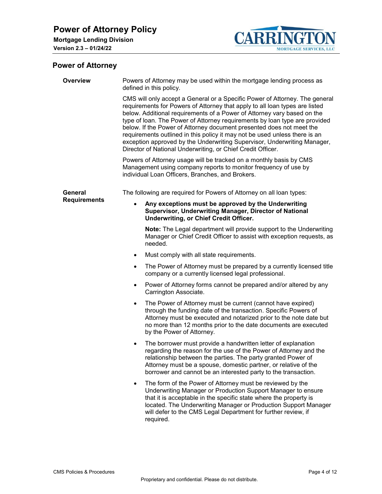

# <span id="page-3-0"></span>**Power of Attorney**

<span id="page-3-2"></span><span id="page-3-1"></span>

| <b>Overview</b>     | Powers of Attorney may be used within the mortgage lending process as<br>defined in this policy.                                                                                                                                                                                                                                                                                                                                                                                                                                                                                                                     |  |  |  |
|---------------------|----------------------------------------------------------------------------------------------------------------------------------------------------------------------------------------------------------------------------------------------------------------------------------------------------------------------------------------------------------------------------------------------------------------------------------------------------------------------------------------------------------------------------------------------------------------------------------------------------------------------|--|--|--|
|                     | CMS will only accept a General or a Specific Power of Attorney. The general<br>requirements for Powers of Attorney that apply to all loan types are listed<br>below. Additional requirements of a Power of Attorney vary based on the<br>type of loan. The Power of Attorney requirements by loan type are provided<br>below. If the Power of Attorney document presented does not meet the<br>requirements outlined in this policy it may not be used unless there is an<br>exception approved by the Underwriting Supervisor, Underwriting Manager,<br>Director of National Underwriting, or Chief Credit Officer. |  |  |  |
|                     | Powers of Attorney usage will be tracked on a monthly basis by CMS<br>Management using company reports to monitor frequency of use by<br>individual Loan Officers, Branches, and Brokers.                                                                                                                                                                                                                                                                                                                                                                                                                            |  |  |  |
| General             | The following are required for Powers of Attorney on all loan types:                                                                                                                                                                                                                                                                                                                                                                                                                                                                                                                                                 |  |  |  |
| <b>Requirements</b> | Any exceptions must be approved by the Underwriting<br>$\bullet$<br>Supervisor, Underwriting Manager, Director of National<br>Underwriting, or Chief Credit Officer.                                                                                                                                                                                                                                                                                                                                                                                                                                                 |  |  |  |
|                     | Note: The Legal department will provide support to the Underwriting<br>Manager or Chief Credit Officer to assist with exception requests, as<br>needed.                                                                                                                                                                                                                                                                                                                                                                                                                                                              |  |  |  |
|                     | Must comply with all state requirements.<br>$\bullet$                                                                                                                                                                                                                                                                                                                                                                                                                                                                                                                                                                |  |  |  |
|                     | The Power of Attorney must be prepared by a currently licensed title<br>$\bullet$<br>company or a currently licensed legal professional.                                                                                                                                                                                                                                                                                                                                                                                                                                                                             |  |  |  |
|                     | Power of Attorney forms cannot be prepared and/or altered by any<br>$\bullet$<br>Carrington Associate.                                                                                                                                                                                                                                                                                                                                                                                                                                                                                                               |  |  |  |
|                     | The Power of Attorney must be current (cannot have expired)<br>$\bullet$<br>through the funding date of the transaction. Specific Powers of<br>Attorney must be executed and notarized prior to the note date but<br>no more than 12 months prior to the date documents are executed<br>by the Power of Attorney.                                                                                                                                                                                                                                                                                                    |  |  |  |
|                     | The borrower must provide a handwritten letter of explanation<br>٠<br>regarding the reason for the use of the Power of Attorney and the<br>relationship between the parties. The party granted Power of<br>Attorney must be a spouse, domestic partner, or relative of the<br>borrower and cannot be an interested party to the transaction.                                                                                                                                                                                                                                                                         |  |  |  |
|                     | The form of the Power of Attorney must be reviewed by the<br>$\bullet$<br>Underwriting Manager or Production Support Manager to ensure<br>that it is acceptable in the specific state where the property is<br>located. The Underwriting Manager or Production Support Manager<br>will defer to the CMS Legal Department for further review, if<br>required.                                                                                                                                                                                                                                                         |  |  |  |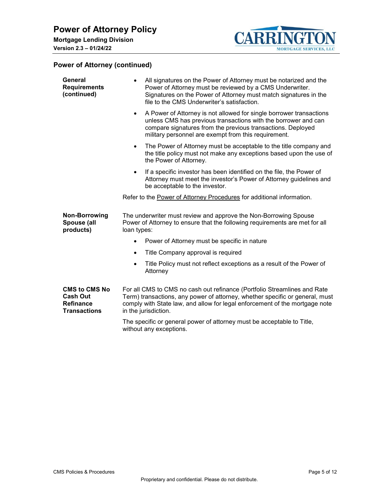

<span id="page-4-1"></span><span id="page-4-0"></span>

| General<br><b>Requirements</b><br>(continued)                                      | All signatures on the Power of Attorney must be notarized and the<br>$\bullet$<br>Power of Attorney must be reviewed by a CMS Underwriter.<br>Signatures on the Power of Attorney must match signatures in the<br>file to the CMS Underwriter's satisfaction.             |
|------------------------------------------------------------------------------------|---------------------------------------------------------------------------------------------------------------------------------------------------------------------------------------------------------------------------------------------------------------------------|
|                                                                                    | A Power of Attorney is not allowed for single borrower transactions<br>$\bullet$<br>unless CMS has previous transactions with the borrower and can<br>compare signatures from the previous transactions. Deployed<br>military personnel are exempt from this requirement. |
|                                                                                    | The Power of Attorney must be acceptable to the title company and<br>$\bullet$<br>the title policy must not make any exceptions based upon the use of<br>the Power of Attorney.                                                                                           |
|                                                                                    | If a specific investor has been identified on the file, the Power of<br>$\bullet$<br>Attorney must meet the investor's Power of Attorney guidelines and<br>be acceptable to the investor.                                                                                 |
|                                                                                    | Refer to the Power of Attorney Procedures for additional information.                                                                                                                                                                                                     |
| <b>Non-Borrowing</b><br>Spouse (all<br>products)                                   | The underwriter must review and approve the Non-Borrowing Spouse<br>Power of Attorney to ensure that the following requirements are met for all<br>loan types:                                                                                                            |
|                                                                                    | Power of Attorney must be specific in nature                                                                                                                                                                                                                              |
|                                                                                    | Title Company approval is required<br>$\bullet$                                                                                                                                                                                                                           |
|                                                                                    | Title Policy must not reflect exceptions as a result of the Power of<br>$\bullet$<br>Attorney                                                                                                                                                                             |
| <b>CMS to CMS No</b><br><b>Cash Out</b><br><b>Refinance</b><br><b>Transactions</b> | For all CMS to CMS no cash out refinance (Portfolio Streamlines and Rate<br>Term) transactions, any power of attorney, whether specific or general, must<br>comply with State law, and allow for legal enforcement of the mortgage note<br>in the jurisdiction.           |
|                                                                                    | The specific or general power of attorney must be acceptable to Title,<br>without any exceptions.                                                                                                                                                                         |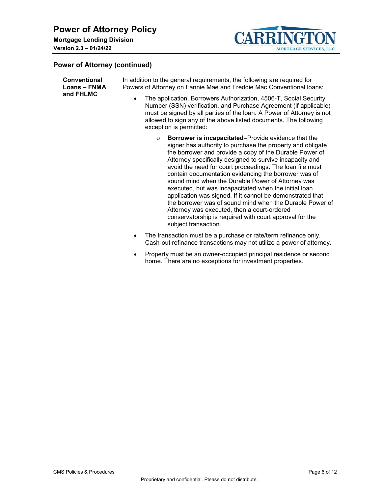

<span id="page-5-0"></span>

| <b>Conventional</b><br>Loans - FNMA<br>and FHLMC | In addition to the general requirements, the following are required for<br>Powers of Attorney on Fannie Mae and Freddie Mac Conventional Ioans:<br>The application, Borrowers Authorization, 4506-T, Social Security<br>$\bullet$<br>Number (SSN) verification, and Purchase Agreement (if applicable)<br>must be signed by all parties of the loan. A Power of Attorney is not<br>allowed to sign any of the above listed documents. The following                                                                                                                                                                                                                                                                                                     |
|--------------------------------------------------|---------------------------------------------------------------------------------------------------------------------------------------------------------------------------------------------------------------------------------------------------------------------------------------------------------------------------------------------------------------------------------------------------------------------------------------------------------------------------------------------------------------------------------------------------------------------------------------------------------------------------------------------------------------------------------------------------------------------------------------------------------|
|                                                  | exception is permitted:                                                                                                                                                                                                                                                                                                                                                                                                                                                                                                                                                                                                                                                                                                                                 |
|                                                  | <b>Borrower is incapacitated–Provide evidence that the</b><br>$\circ$<br>signer has authority to purchase the property and obligate<br>the borrower and provide a copy of the Durable Power of<br>Attorney specifically designed to survive incapacity and<br>avoid the need for court proceedings. The loan file must<br>contain documentation evidencing the borrower was of<br>sound mind when the Durable Power of Attorney was<br>executed, but was incapacitated when the initial loan<br>application was signed. If it cannot be demonstrated that<br>the borrower was of sound mind when the Durable Power of<br>Attorney was executed, then a court-ordered<br>conservatorship is required with court approval for the<br>subject transaction. |
|                                                  | The transaction must be a purchase or rate/term refinance only.<br>٠<br>Cash-out refinance transactions may not utilize a power of attorney.                                                                                                                                                                                                                                                                                                                                                                                                                                                                                                                                                                                                            |

• Property must be an owner-occupied principal residence or second home. There are no exceptions for investment properties.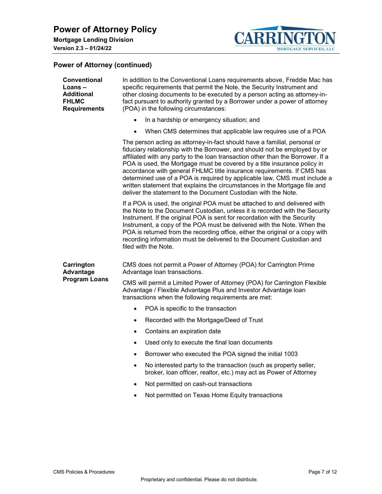

<span id="page-6-1"></span><span id="page-6-0"></span>

| <b>Conventional</b><br>$Loans -$<br><b>Additional</b><br><b>FHLMC</b><br><b>Requirements</b> | In addition to the Conventional Loans requirements above, Freddie Mac has<br>specific requirements that permit the Note, the Security Instrument and<br>other closing documents to be executed by a person acting as attorney-in-<br>fact pursuant to authority granted by a Borrower under a power of attorney<br>(POA) in the following circumstances:                                                                                                                                                                                                                                                                      |  |  |  |  |
|----------------------------------------------------------------------------------------------|-------------------------------------------------------------------------------------------------------------------------------------------------------------------------------------------------------------------------------------------------------------------------------------------------------------------------------------------------------------------------------------------------------------------------------------------------------------------------------------------------------------------------------------------------------------------------------------------------------------------------------|--|--|--|--|
|                                                                                              | In a hardship or emergency situation; and<br>$\bullet$                                                                                                                                                                                                                                                                                                                                                                                                                                                                                                                                                                        |  |  |  |  |
|                                                                                              | When CMS determines that applicable law requires use of a POA<br>$\bullet$                                                                                                                                                                                                                                                                                                                                                                                                                                                                                                                                                    |  |  |  |  |
|                                                                                              | The person acting as attorney-in-fact should have a familial, personal or<br>fiduciary relationship with the Borrower, and should not be employed by or<br>affiliated with any party to the loan transaction other than the Borrower. If a<br>POA is used, the Mortgage must be covered by a title insurance policy in<br>accordance with general FHLMC title insurance requirements. If CMS has<br>determined use of a POA is required by applicable law, CMS must include a<br>written statement that explains the circumstances in the Mortgage file and<br>deliver the statement to the Document Custodian with the Note. |  |  |  |  |
|                                                                                              | If a POA is used, the original POA must be attached to and delivered with<br>the Note to the Document Custodian, unless it is recorded with the Security<br>Instrument. If the original POA is sent for recordation with the Security<br>Instrument, a copy of the POA must be delivered with the Note. When the<br>POA is returned from the recording office, either the original or a copy with<br>recording information must be delivered to the Document Custodian and<br>filed with the Note.                                                                                                                            |  |  |  |  |
| Carrington<br>Advantage                                                                      | CMS does not permit a Power of Attorney (POA) for Carrington Prime<br>Advantage loan transactions.                                                                                                                                                                                                                                                                                                                                                                                                                                                                                                                            |  |  |  |  |
| <b>Program Loans</b>                                                                         | CMS will permit a Limited Power of Attorney (POA) for Carrington Flexible<br>Advantage / Flexible Advantage Plus and Investor Advantage Ioan<br>transactions when the following requirements are met:                                                                                                                                                                                                                                                                                                                                                                                                                         |  |  |  |  |
|                                                                                              | POA is specific to the transaction<br>$\bullet$                                                                                                                                                                                                                                                                                                                                                                                                                                                                                                                                                                               |  |  |  |  |
|                                                                                              | Recorded with the Mortgage/Deed of Trust<br>$\bullet$                                                                                                                                                                                                                                                                                                                                                                                                                                                                                                                                                                         |  |  |  |  |
|                                                                                              | Contains an expiration date<br>$\bullet$                                                                                                                                                                                                                                                                                                                                                                                                                                                                                                                                                                                      |  |  |  |  |
|                                                                                              | Used only to execute the final loan documents                                                                                                                                                                                                                                                                                                                                                                                                                                                                                                                                                                                 |  |  |  |  |
|                                                                                              | Borrower who executed the POA signed the initial 1003                                                                                                                                                                                                                                                                                                                                                                                                                                                                                                                                                                         |  |  |  |  |
|                                                                                              | No interested party to the transaction (such as property seller,<br>broker, loan officer, realtor, etc.) may act as Power of Attorney                                                                                                                                                                                                                                                                                                                                                                                                                                                                                         |  |  |  |  |
|                                                                                              | Not permitted on cash-out transactions                                                                                                                                                                                                                                                                                                                                                                                                                                                                                                                                                                                        |  |  |  |  |
|                                                                                              | Not permitted on Texas Home Equity transactions                                                                                                                                                                                                                                                                                                                                                                                                                                                                                                                                                                               |  |  |  |  |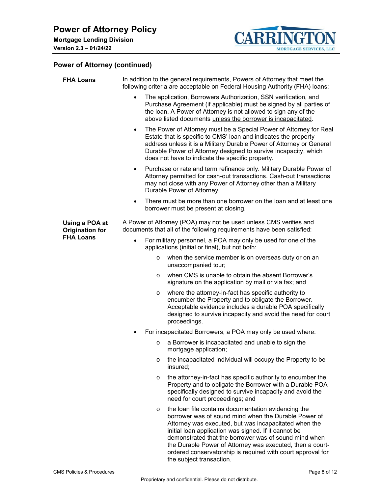

<span id="page-7-1"></span><span id="page-7-0"></span>

| <b>FHA Loans</b>                         | In addition to the general requirements, Powers of Attorney that meet the<br>following criteria are acceptable on Federal Housing Authority (FHA) loans:                                                                                                                                                                                                                                                                                                 |
|------------------------------------------|----------------------------------------------------------------------------------------------------------------------------------------------------------------------------------------------------------------------------------------------------------------------------------------------------------------------------------------------------------------------------------------------------------------------------------------------------------|
|                                          | The application, Borrowers Authorization, SSN verification, and<br>$\bullet$<br>Purchase Agreement (if applicable) must be signed by all parties of<br>the loan. A Power of Attorney is not allowed to sign any of the<br>above listed documents unless the borrower is incapacitated.                                                                                                                                                                   |
|                                          | The Power of Attorney must be a Special Power of Attorney for Real<br>$\bullet$<br>Estate that is specific to CMS' loan and indicates the property<br>address unless it is a Military Durable Power of Attorney or General<br>Durable Power of Attorney designed to survive incapacity, which<br>does not have to indicate the specific property.                                                                                                        |
|                                          | Purchase or rate and term refinance only. Military Durable Power of<br>$\bullet$<br>Attorney permitted for cash-out transactions. Cash-out transactions<br>may not close with any Power of Attorney other than a Military<br>Durable Power of Attorney.                                                                                                                                                                                                  |
|                                          | There must be more than one borrower on the loan and at least one<br>$\bullet$<br>borrower must be present at closing.                                                                                                                                                                                                                                                                                                                                   |
| Using a POA at<br><b>Origination for</b> | A Power of Attorney (POA) may not be used unless CMS verifies and<br>documents that all of the following requirements have been satisfied:                                                                                                                                                                                                                                                                                                               |
| <b>FHA Loans</b>                         | For military personnel, a POA may only be used for one of the<br>$\bullet$<br>applications (initial or final), but not both:                                                                                                                                                                                                                                                                                                                             |
|                                          | when the service member is on overseas duty or on an<br>$\circ$<br>unaccompanied tour;                                                                                                                                                                                                                                                                                                                                                                   |
|                                          | when CMS is unable to obtain the absent Borrower's<br>$\circ$<br>signature on the application by mail or via fax; and                                                                                                                                                                                                                                                                                                                                    |
|                                          | where the attorney-in-fact has specific authority to<br>$\circ$<br>encumber the Property and to obligate the Borrower.<br>Acceptable evidence includes a durable POA specifically<br>designed to survive incapacity and avoid the need for court<br>proceedings.                                                                                                                                                                                         |
|                                          | For incapacitated Borrowers, a POA may only be used where:                                                                                                                                                                                                                                                                                                                                                                                               |
|                                          | a Borrower is incapacitated and unable to sign the<br>O<br>mortgage application;                                                                                                                                                                                                                                                                                                                                                                         |
|                                          | the incapacitated individual will occupy the Property to be<br>$\circ$<br>insured;                                                                                                                                                                                                                                                                                                                                                                       |
|                                          | the attorney-in-fact has specific authority to encumber the<br>$\circ$<br>Property and to obligate the Borrower with a Durable POA<br>specifically designed to survive incapacity and avoid the<br>need for court proceedings; and                                                                                                                                                                                                                       |
|                                          | the loan file contains documentation evidencing the<br>$\circ$<br>borrower was of sound mind when the Durable Power of<br>Attorney was executed, but was incapacitated when the<br>initial loan application was signed. If it cannot be<br>demonstrated that the borrower was of sound mind when<br>the Durable Power of Attorney was executed, then a court-<br>ordered conservatorship is required with court approval for<br>the subject transaction. |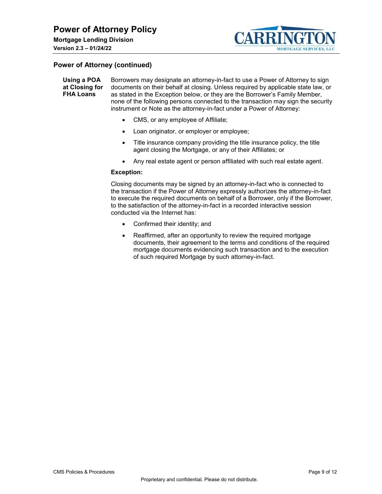

<span id="page-8-0"></span>**Using a POA at Closing for FHA Loans**  Borrowers may designate an attorney-in-fact to use a Power of Attorney to sign documents on their behalf at closing. Unless required by applicable state law, or as stated in the Exception below, or they are the Borrower's Family Member, none of the following persons connected to the transaction may sign the security instrument or Note as the attorney-in-fact under a Power of Attorney:

- CMS, or any employee of Affiliate;
- Loan originator, or employer or employee;
- Title insurance company providing the title insurance policy, the title agent closing the Mortgage, or any of their Affiliates; or
- Any real estate agent or person affiliated with such real estate agent.

#### **Exception:**

Closing documents may be signed by an attorney-in-fact who is connected to the transaction if the Power of Attorney expressly authorizes the attorney-in-fact to execute the required documents on behalf of a Borrower, only if the Borrower, to the satisfaction of the attorney-in-fact in a recorded interactive session conducted via the Internet has:

- Confirmed their identity; and
- Reaffirmed, after an opportunity to review the required mortgage documents, their agreement to the terms and conditions of the required mortgage documents evidencing such transaction and to the execution of such required Mortgage by such attorney-in-fact.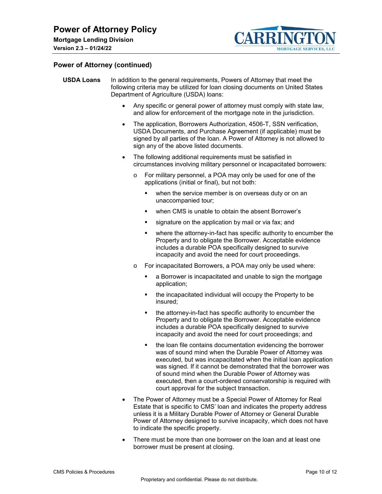

<span id="page-9-0"></span>

| <b>USDA Loans</b> | In addition to the general requirements, Powers of Attorney that meet the      |
|-------------------|--------------------------------------------------------------------------------|
|                   | following criteria may be utilized for loan closing documents on United States |
|                   | Department of Agriculture (USDA) loans:                                        |

- Any specific or general power of attorney must comply with state law, and allow for enforcement of the mortgage note in the jurisdiction.
- The application, Borrowers Authorization, 4506-T, SSN verification, USDA Documents, and Purchase Agreement (if applicable) must be signed by all parties of the loan. A Power of Attorney is not allowed to sign any of the above listed documents.
- The following additional requirements must be satisfied in circumstances involving military personnel or incapacitated borrowers:
	- o For military personnel, a POA may only be used for one of the applications (initial or final), but not both:
		- when the service member is on overseas duty or on an unaccompanied tour;
		- when CMS is unable to obtain the absent Borrower's
		- signature on the application by mail or via fax; and
		- where the attorney-in-fact has specific authority to encumber the Property and to obligate the Borrower. Acceptable evidence includes a durable POA specifically designed to survive incapacity and avoid the need for court proceedings.
	- o For incapacitated Borrowers, a POA may only be used where:
		- a Borrower is incapacitated and unable to sign the mortgage application;
		- the incapacitated individual will occupy the Property to be insured;
		- the attorney-in-fact has specific authority to encumber the Property and to obligate the Borrower. Acceptable evidence includes a durable POA specifically designed to survive incapacity and avoid the need for court proceedings; and
		- the loan file contains documentation evidencing the borrower was of sound mind when the Durable Power of Attorney was executed, but was incapacitated when the initial loan application was signed. If it cannot be demonstrated that the borrower was of sound mind when the Durable Power of Attorney was executed, then a court-ordered conservatorship is required with court approval for the subject transaction.
- The Power of Attorney must be a Special Power of Attorney for Real Estate that is specific to CMS' loan and indicates the property address unless it is a Military Durable Power of Attorney or General Durable Power of Attorney designed to survive incapacity, which does not have to indicate the specific property.
- There must be more than one borrower on the loan and at least one borrower must be present at closing.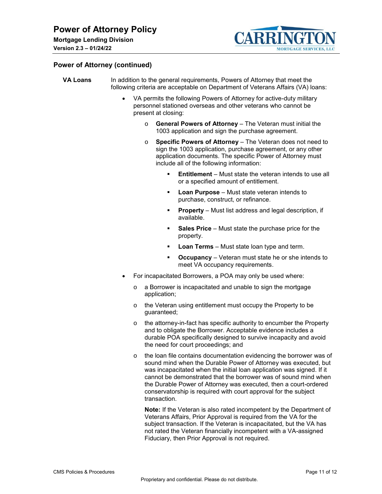

<span id="page-10-0"></span>

| <b>VA Loans</b> | In addition to the general requirements, Powers of Attorney that meet the       |  |  |  |
|-----------------|---------------------------------------------------------------------------------|--|--|--|
|                 | following criteria are acceptable on Department of Veterans Affairs (VA) loans: |  |  |  |

- VA permits the following Powers of Attorney for active-duty military personnel stationed overseas and other veterans who cannot be present at closing:
	- o **General Powers of Attorney** The Veteran must initial the 1003 application and sign the purchase agreement.
	- o **Specific Powers of Attorney** The Veteran does not need to sign the 1003 application, purchase agreement, or any other application documents. The specific Power of Attorney must include all of the following information:
		- **Entitlement** Must state the veteran intends to use all or a specified amount of entitlement.
		- **Loan Purpose** Must state veteran intends to purchase, construct, or refinance.
		- **Property** Must list address and legal description, if available.
		- **Sales Price** Must state the purchase price for the property.
		- **Loan Terms** Must state loan type and term.
		- **Occupancy** Veteran must state he or she intends to meet VA occupancy requirements.
- For incapacitated Borrowers, a POA may only be used where:
	- o a Borrower is incapacitated and unable to sign the mortgage application;
	- o the Veteran using entitlement must occupy the Property to be guaranteed;
	- o the attorney-in-fact has specific authority to encumber the Property and to obligate the Borrower. Acceptable evidence includes a durable POA specifically designed to survive incapacity and avoid the need for court proceedings; and
	- o the loan file contains documentation evidencing the borrower was of sound mind when the Durable Power of Attorney was executed, but was incapacitated when the initial loan application was signed. If it cannot be demonstrated that the borrower was of sound mind when the Durable Power of Attorney was executed, then a court-ordered conservatorship is required with court approval for the subject transaction.

**Note:** If the Veteran is also rated incompetent by the Department of Veterans Affairs, Prior Approval is required from the VA for the subject transaction. If the Veteran is incapacitated, but the VA has not rated the Veteran financially incompetent with a VA-assigned Fiduciary, then Prior Approval is not required.